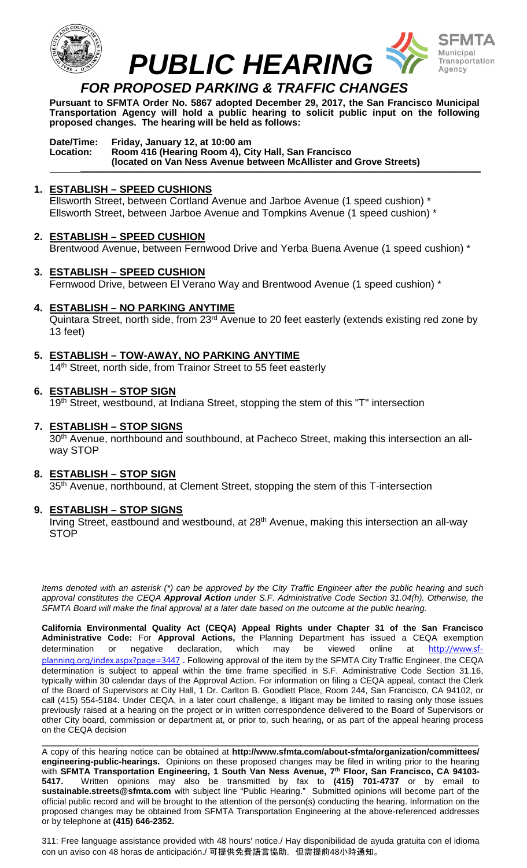

**Pursuant to SFMTA Order No. 5867 adopted December 29, 2017, the San Francisco Municipal Transportation Agency will hold a public hearing to solicit public input on the following proposed changes. The hearing will be held as follows:**

#### **Date/Time: Friday, January 12, at 10:00 am Location: Room 416 (Hearing Room 4), City Hall, San Francisco (located on Van Ness Avenue between McAllister and Grove Streets) \_\_\_\_\_\_\_\_\_\_\_\_\_\_\_\_\_\_\_\_\_\_\_\_\_\_\_\_\_\_\_\_\_\_\_\_\_\_\_\_\_\_\_\_\_\_\_\_\_\_\_\_\_\_\_\_\_\_\_\_\_\_\_\_\_\_\_\_\_\_\_\_\_\_\_\_**

## **1. ESTABLISH – SPEED CUSHIONS**

Ellsworth Street, between Cortland Avenue and Jarboe Avenue (1 speed cushion) \* Ellsworth Street, between Jarboe Avenue and Tompkins Avenue (1 speed cushion) \*

#### **2. ESTABLISH – SPEED CUSHION**

Brentwood Avenue, between Fernwood Drive and Yerba Buena Avenue (1 speed cushion) \*

# **3. ESTABLISH – SPEED CUSHION**  Fernwood Drive, between El Verano Way and Brentwood Avenue (1 speed cushion) \*

**4. ESTABLISH – NO PARKING ANYTIME**

Quintara Street, north side, from 23<sup>rd</sup> Avenue to 20 feet easterly (extends existing red zone by 13 feet)

**5. ESTABLISH – TOW-AWAY, NO PARKING ANYTIME**  14<sup>th</sup> Street, north side, from Trainor Street to 55 feet easterly

#### **6. ESTABLISH – STOP SIGN**

19<sup>th</sup> Street, westbound, at Indiana Street, stopping the stem of this "T" intersection

#### **7. ESTABLISH – STOP SIGNS**

30<sup>th</sup> Avenue, northbound and southbound, at Pacheco Street, making this intersection an allway STOP

## **8. ESTABLISH – STOP SIGN**

35<sup>th</sup> Avenue, northbound, at Clement Street, stopping the stem of this T-intersection

#### **9. ESTABLISH – STOP SIGNS**

Irving Street, eastbound and westbound, at 28<sup>th</sup> Avenue, making this intersection an all-way **STOP** 

*Items denoted with an asterisk (\*) can be approved by the City Traffic Engineer after the public hearing and such approval constitutes the CEQA Approval Action under S.F. Administrative Code Section 31.04(h). Otherwise, the SFMTA Board will make the final approval at a later date based on the outcome at the public hearing.*

**California Environmental Quality Act (CEQA) Appeal Rights under Chapter 31 of the San Francisco Administrative Code:** For **Approval Actions,** the Planning Department has issued a CEQA exemption determination or negative declaration, which may be viewed online at [http://www.sf](http://www.sf-planning.org/index.aspx?page=3447)[planning.org/index.aspx?page=3447](http://www.sf-planning.org/index.aspx?page=3447) **.** Following approval of the item by the SFMTA City Traffic Engineer, the CEQA determination is subject to appeal within the time frame specified in S.F. Administrative Code Section 31.16, typically within 30 calendar days of the Approval Action. For information on filing a CEQA appeal, contact the Clerk of the Board of Supervisors at City Hall, 1 Dr. Carlton B. Goodlett Place, Room 244, San Francisco, CA 94102, or call (415) 554-5184. Under CEQA, in a later court challenge, a litigant may be limited to raising only those issues previously raised at a hearing on the project or in written correspondence delivered to the Board of Supervisors or other City board, commission or department at, or prior to, such hearing, or as part of the appeal hearing process on the CEQA decision

\_\_\_\_\_\_\_\_\_\_\_\_\_\_\_\_\_\_\_\_\_\_\_\_\_\_\_\_\_\_\_\_\_\_\_\_\_\_\_\_\_\_\_\_\_\_\_\_\_\_\_\_\_\_\_\_\_\_\_\_\_\_\_\_\_\_\_\_\_\_\_\_\_\_\_\_ A copy of this hearing notice can be obtained at **http://www.sfmta.com/about-sfmta/organization/committees/ engineering-public-hearings.** Opinions on these proposed changes may be filed in writing prior to the hearing with **SFMTA Transportation Engineering, 1 South Van Ness Avenue, 7th Floor, San Francisco, CA 94103- 5417.** Written opinions may also be transmitted by fax to **(415) 701-4737** or by email to **sustainable.streets@sfmta.com** with subject line "Public Hearing." Submitted opinions will become part of the official public record and will be brought to the attention of the person(s) conducting the hearing. Information on the proposed changes may be obtained from SFMTA Transportation Engineering at the above-referenced addresses or by telephone at **(415) 646-2352.**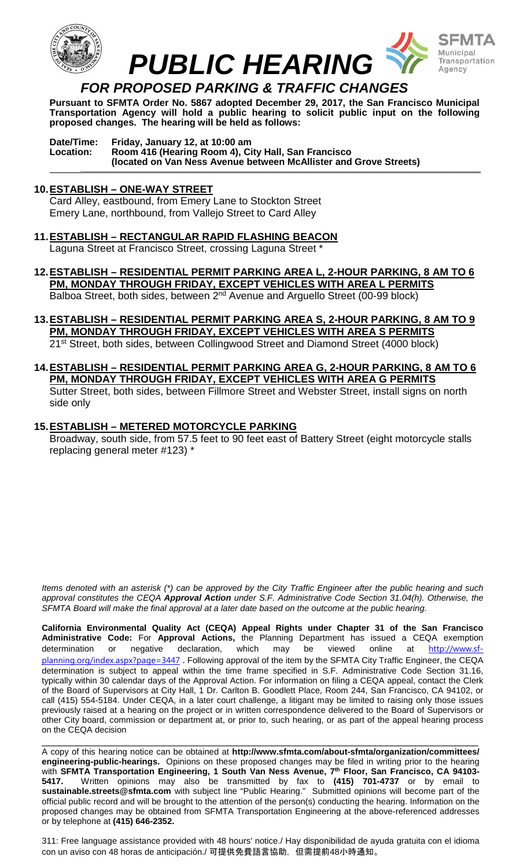

**Pursuant to SFMTA Order No. 5867 adopted December 29, 2017, the San Francisco Municipal Transportation Agency will hold a public hearing to solicit public input on the following proposed changes. The hearing will be held as follows:**

**Date/Time: Friday, January 12, at 10:00 am Location: Room 416 (Hearing Room 4), City Hall, San Francisco (located on Van Ness Avenue between McAllister and Grove Streets) \_\_\_\_\_\_\_\_\_\_\_\_\_\_\_\_\_\_\_\_\_\_\_\_\_\_\_\_\_\_\_\_\_\_\_\_\_\_\_\_\_\_\_\_\_\_\_\_\_\_\_\_\_\_\_\_\_\_\_\_\_\_\_\_\_\_\_\_\_\_\_\_\_\_\_\_**

#### **10.ESTABLISH – ONE-WAY STREET**

Card Alley, eastbound, from Emery Lane to Stockton Street Emery Lane, northbound, from Vallejo Street to Card Alley

- **11.ESTABLISH – RECTANGULAR RAPID FLASHING BEACON** Laguna Street at Francisco Street, crossing Laguna Street
- **12.ESTABLISH – RESIDENTIAL PERMIT PARKING AREA L, 2-HOUR PARKING, 8 AM TO 6 PM, MONDAY THROUGH FRIDAY, EXCEPT VEHICLES WITH AREA L PERMITS**

Balboa Street, both sides, between 2<sup>nd</sup> Avenue and Arguello Street (00-99 block)

- **13.ESTABLISH – RESIDENTIAL PERMIT PARKING AREA S, 2-HOUR PARKING, 8 AM TO 9 PM, MONDAY THROUGH FRIDAY, EXCEPT VEHICLES WITH AREA S PERMITS**  21st Street, both sides, between Collingwood Street and Diamond Street (4000 block)
- **14.ESTABLISH – RESIDENTIAL PERMIT PARKING AREA G, 2-HOUR PARKING, 8 AM TO 6 PM, MONDAY THROUGH FRIDAY, EXCEPT VEHICLES WITH AREA G PERMITS** Sutter Street, both sides, between Fillmore Street and Webster Street, install signs on north side only

#### **15.ESTABLISH – METERED MOTORCYCLE PARKING**

Broadway, south side, from 57.5 feet to 90 feet east of Battery Street (eight motorcycle stalls replacing general meter #123) \*

*Items denoted with an asterisk (\*) can be approved by the City Traffic Engineer after the public hearing and such approval constitutes the CEQA Approval Action under S.F. Administrative Code Section 31.04(h). Otherwise, the SFMTA Board will make the final approval at a later date based on the outcome at the public hearing.*

**California Environmental Quality Act (CEQA) Appeal Rights under Chapter 31 of the San Francisco Administrative Code:** For **Approval Actions,** the Planning Department has issued a CEQA exemption determination or negative declaration, which may be viewed online at [http://www.sf](http://www.sf-planning.org/index.aspx?page=3447)[planning.org/index.aspx?page=3447](http://www.sf-planning.org/index.aspx?page=3447) **.** Following approval of the item by the SFMTA City Traffic Engineer, the CEQA determination is subject to appeal within the time frame specified in S.F. Administrative Code Section 31.16, typically within 30 calendar days of the Approval Action. For information on filing a CEQA appeal, contact the Clerk of the Board of Supervisors at City Hall, 1 Dr. Carlton B. Goodlett Place, Room 244, San Francisco, CA 94102, or call (415) 554-5184. Under CEQA, in a later court challenge, a litigant may be limited to raising only those issues previously raised at a hearing on the project or in written correspondence delivered to the Board of Supervisors or other City board, commission or department at, or prior to, such hearing, or as part of the appeal hearing process on the CEQA decision

\_\_\_\_\_\_\_\_\_\_\_\_\_\_\_\_\_\_\_\_\_\_\_\_\_\_\_\_\_\_\_\_\_\_\_\_\_\_\_\_\_\_\_\_\_\_\_\_\_\_\_\_\_\_\_\_\_\_\_\_\_\_\_\_\_\_\_\_\_\_\_\_\_\_\_\_ A copy of this hearing notice can be obtained at **http://www.sfmta.com/about-sfmta/organization/committees/ engineering-public-hearings.** Opinions on these proposed changes may be filed in writing prior to the hearing with **SFMTA Transportation Engineering, 1 South Van Ness Avenue, 7th Floor, San Francisco, CA 94103- 5417.** Written opinions may also be transmitted by fax to **(415) 701-4737** or by email to **sustainable.streets@sfmta.com** with subject line "Public Hearing." Submitted opinions will become part of the official public record and will be brought to the attention of the person(s) conducting the hearing. Information on the proposed changes may be obtained from SFMTA Transportation Engineering at the above-referenced addresses or by telephone at **(415) 646-2352.**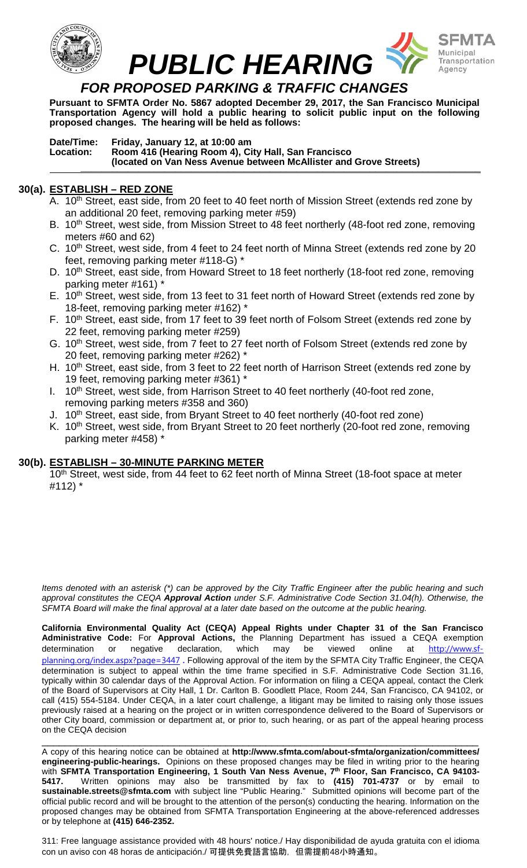

**Pursuant to SFMTA Order No. 5867 adopted December 29, 2017, the San Francisco Municipal Transportation Agency will hold a public hearing to solicit public input on the following proposed changes. The hearing will be held as follows:**

**Date/Time: Friday, January 12, at 10:00 am Location: Room 416 (Hearing Room 4), City Hall, San Francisco (located on Van Ness Avenue between McAllister and Grove Streets) \_\_\_\_\_\_\_\_\_\_\_\_\_\_\_\_\_\_\_\_\_\_\_\_\_\_\_\_\_\_\_\_\_\_\_\_\_\_\_\_\_\_\_\_\_\_\_\_\_\_\_\_\_\_\_\_\_\_\_\_\_\_\_\_\_\_\_\_\_\_\_\_\_\_\_\_**

## **30(a). ESTABLISH – RED ZONE**

- A. 10<sup>th</sup> Street, east side, from 20 feet to 40 feet north of Mission Street (extends red zone by an additional 20 feet, removing parking meter #59)
- B. 10<sup>th</sup> Street, west side, from Mission Street to 48 feet northerly (48-foot red zone, removing meters #60 and 62)
- C. 10<sup>th</sup> Street, west side, from 4 feet to 24 feet north of Minna Street (extends red zone by 20 feet, removing parking meter #118-G) \*
- D. 10<sup>th</sup> Street, east side, from Howard Street to 18 feet northerly (18-foot red zone, removing parking meter #161) \*
- E. 10<sup>th</sup> Street, west side, from 13 feet to 31 feet north of Howard Street (extends red zone by 18-feet, removing parking meter #162) \*
- F. 10<sup>th</sup> Street, east side, from 17 feet to 39 feet north of Folsom Street (extends red zone by 22 feet, removing parking meter #259)
- G. 10<sup>th</sup> Street, west side, from 7 feet to 27 feet north of Folsom Street (extends red zone by 20 feet, removing parking meter #262) \*
- H. 10<sup>th</sup> Street, east side, from 3 feet to 22 feet north of Harrison Street (extends red zone by 19 feet, removing parking meter #361) \*
- I. 10<sup>th</sup> Street, west side, from Harrison Street to 40 feet northerly (40-foot red zone, removing parking meters #358 and 360)
- J. 10<sup>th</sup> Street, east side, from Bryant Street to 40 feet northerly (40-foot red zone)
- K. 10<sup>th</sup> Street, west side, from Bryant Street to 20 feet northerly (20-foot red zone, removing parking meter #458) \*

#### **30(b). ESTABLISH – 30-MINUTE PARKING METER**

10<sup>th</sup> Street, west side, from 44 feet to 62 feet north of Minna Street (18-foot space at meter #112) \*

*Items denoted with an asterisk (\*) can be approved by the City Traffic Engineer after the public hearing and such approval constitutes the CEQA Approval Action under S.F. Administrative Code Section 31.04(h). Otherwise, the SFMTA Board will make the final approval at a later date based on the outcome at the public hearing.*

**California Environmental Quality Act (CEQA) Appeal Rights under Chapter 31 of the San Francisco Administrative Code:** For **Approval Actions,** the Planning Department has issued a CEQA exemption determination or negative declaration, which may be viewed online at [http://www.sf](http://www.sf-planning.org/index.aspx?page=3447)[planning.org/index.aspx?page=3447](http://www.sf-planning.org/index.aspx?page=3447) **.** Following approval of the item by the SFMTA City Traffic Engineer, the CEQA determination is subject to appeal within the time frame specified in S.F. Administrative Code Section 31.16, typically within 30 calendar days of the Approval Action. For information on filing a CEQA appeal, contact the Clerk of the Board of Supervisors at City Hall, 1 Dr. Carlton B. Goodlett Place, Room 244, San Francisco, CA 94102, or call (415) 554-5184. Under CEQA, in a later court challenge, a litigant may be limited to raising only those issues previously raised at a hearing on the project or in written correspondence delivered to the Board of Supervisors or other City board, commission or department at, or prior to, such hearing, or as part of the appeal hearing process on the CEQA decision

\_\_\_\_\_\_\_\_\_\_\_\_\_\_\_\_\_\_\_\_\_\_\_\_\_\_\_\_\_\_\_\_\_\_\_\_\_\_\_\_\_\_\_\_\_\_\_\_\_\_\_\_\_\_\_\_\_\_\_\_\_\_\_\_\_\_\_\_\_\_\_\_\_\_\_\_ A copy of this hearing notice can be obtained at **http://www.sfmta.com/about-sfmta/organization/committees/ engineering-public-hearings.** Opinions on these proposed changes may be filed in writing prior to the hearing with **SFMTA Transportation Engineering, 1 South Van Ness Avenue, 7th Floor, San Francisco, CA 94103- 5417.** Written opinions may also be transmitted by fax to **(415) 701-4737** or by email to **sustainable.streets@sfmta.com** with subject line "Public Hearing." Submitted opinions will become part of the official public record and will be brought to the attention of the person(s) conducting the hearing. Information on the proposed changes may be obtained from SFMTA Transportation Engineering at the above-referenced addresses or by telephone at **(415) 646-2352.**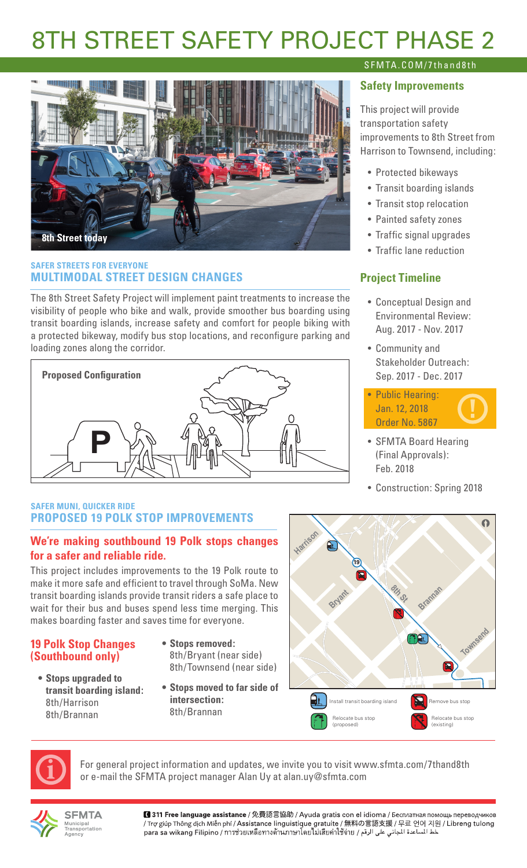# 8TH STREET SAFETY PROJECT PHASE 2



# **SAFER STREETS FOR EVERYONE MULTIMODAL STREET DESIGN CHANGES**

The 8th Street Safety Project will implement paint treatments to increase the visibility of people who bike and walk, provide smoother bus boarding using transit boarding islands, increase safety and comfort for people biking with a protected bikeway, modify bus stop locations, and reconfigure parking and loading zones along the corridor.



# **SAFER MUNI, QUICKER RIDE PROPOSED 19 POLK STOP IMPROVEMENTS**

# **We're making southbound 19 Polk stops changes for a safer and reliable ride.**

This project includes improvements to the 19 Polk route to make it more safe and efficient to travel through SoMa. New transit boarding islands provide transit riders a safe place to wait for their bus and buses spend less time merging. This makes boarding faster and saves time for everyone.

# **19 Polk Stop Changes (Southbound only)**

- **• Stops upgraded to transit boarding island:** 8th/Harrison 8th/Brannan
- **• Stops removed:** 8th/Bryant (near side) 8th/Townsend (near side)
- **• Stops moved to far side of intersection:** 8th/Brannan

# **19 8th St Harrison Bryant Brannan Townsend**  $\Omega$ Install transit boarding island  $\sum$  Remove bus stop elocate bus stop (existing) Relocate bus stop (proposed)



For general project information and updates, we invite you to visit www.sfmta.com/7thand8th or e-mail the SFMTA project manager Alan Uy at alan.uy@sfmta.com



**SFMTA** wunicipai<br>Fransportation

■ 311 Free language assistance / 免費語言協助 / Ayuda gratis con el idioma / Бесплатная помощь переводчиков / Trợ giúp Thông dịch Miễn phí / Assistance linguistique gratuite / 無料の言語支援 / 무료 언어 지원 / Libreng tulong para sa wikang Filipino / การช่วยเหลือทางด้านภาษาโดยไม่เสียค่าใช้จ่าย / عط المساعدة المجاني على الرقم

# SFMTA.COM/7thand8th

# **Safety Improvements**

This project will provide transportation safety improvements to 8th Street from Harrison to Townsend, including:

- Protected bikeways
- Transit boarding islands
- Transit stop relocation
- Painted safety zones
- Traffic signal upgrades
- Traffic lane reduction

# **Project Timeline**

- Conceptual Design and Environmental Review: Aug. 2017 - Nov. 2017
- Community and Stakeholder Outreach: Sep. 2017 - Dec. 2017

• Public Hearing: Jan. 12, 2018 Order No. 5867



- SFMTA Board Hearing (Final Approvals): Feb. 2018
- Construction: Spring 2018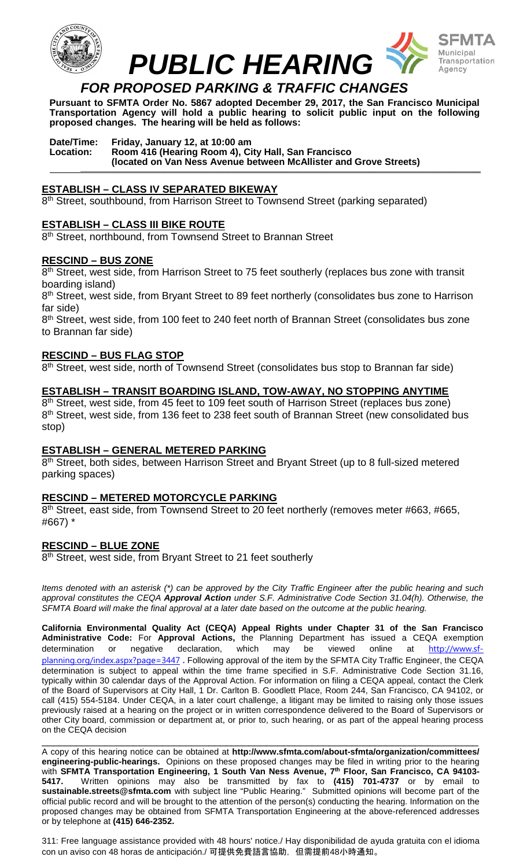



**Pursuant to SFMTA Order No. 5867 adopted December 29, 2017, the San Francisco Municipal Transportation Agency will hold a public hearing to solicit public input on the following proposed changes. The hearing will be held as follows:**

#### **Date/Time: Friday, January 12, at 10:00 am Location: Room 416 (Hearing Room 4), City Hall, San Francisco (located on Van Ness Avenue between McAllister and Grove Streets) \_\_\_\_\_\_\_\_\_\_\_\_\_\_\_\_\_\_\_\_\_\_\_\_\_\_\_\_\_\_\_\_\_\_\_\_\_\_\_\_\_\_\_\_\_\_\_\_\_\_\_\_\_\_\_\_\_\_\_\_\_\_\_\_\_\_\_\_\_\_\_\_\_\_\_\_**

#### **ESTABLISH – CLASS IV SEPARATED BIKEWAY**

8<sup>th</sup> Street, southbound, from Harrison Street to Townsend Street (parking separated)

#### **ESTABLISH – CLASS III BIKE ROUTE**

8<sup>th</sup> Street, northbound, from Townsend Street to Brannan Street

#### **RESCIND – BUS ZONE**

8<sup>th</sup> Street, west side, from Harrison Street to 75 feet southerly (replaces bus zone with transit boarding island)

8<sup>th</sup> Street, west side, from Bryant Street to 89 feet northerly (consolidates bus zone to Harrison far side)

8<sup>th</sup> Street, west side, from 100 feet to 240 feet north of Brannan Street (consolidates bus zone to Brannan far side)

#### **RESCIND – BUS FLAG STOP**

8th Street, west side, north of Townsend Street (consolidates bus stop to Brannan far side)

#### **ESTABLISH – TRANSIT BOARDING ISLAND, TOW-AWAY, NO STOPPING ANYTIME**

8<sup>th</sup> Street, west side, from 45 feet to 109 feet south of Harrison Street (replaces bus zone) 8<sup>th</sup> Street, west side, from 136 feet to 238 feet south of Brannan Street (new consolidated bus stop)

## **ESTABLISH – GENERAL METERED PARKING**

8<sup>th</sup> Street, both sides, between Harrison Street and Bryant Street (up to 8 full-sized metered parking spaces)

#### **RESCIND – METERED MOTORCYCLE PARKING**

8<sup>th</sup> Street, east side, from Townsend Street to 20 feet northerly (removes meter #663, #665, #667) \*

#### **RESCIND – BLUE ZONE**

8<sup>th</sup> Street, west side, from Bryant Street to 21 feet southerly

*Items denoted with an asterisk (\*) can be approved by the City Traffic Engineer after the public hearing and such approval constitutes the CEQA Approval Action under S.F. Administrative Code Section 31.04(h). Otherwise, the SFMTA Board will make the final approval at a later date based on the outcome at the public hearing.*

**California Environmental Quality Act (CEQA) Appeal Rights under Chapter 31 of the San Francisco Administrative Code:** For **Approval Actions,** the Planning Department has issued a CEQA exemption determination or negative declaration, which may be viewed online at [http://www.sf](http://www.sf-planning.org/index.aspx?page=3447)[planning.org/index.aspx?page=3447](http://www.sf-planning.org/index.aspx?page=3447) **.** Following approval of the item by the SFMTA City Traffic Engineer, the CEQA determination is subject to appeal within the time frame specified in S.F. Administrative Code Section 31.16, typically within 30 calendar days of the Approval Action. For information on filing a CEQA appeal, contact the Clerk of the Board of Supervisors at City Hall, 1 Dr. Carlton B. Goodlett Place, Room 244, San Francisco, CA 94102, or call (415) 554-5184. Under CEQA, in a later court challenge, a litigant may be limited to raising only those issues previously raised at a hearing on the project or in written correspondence delivered to the Board of Supervisors or other City board, commission or department at, or prior to, such hearing, or as part of the appeal hearing process on the CEQA decision

\_\_\_\_\_\_\_\_\_\_\_\_\_\_\_\_\_\_\_\_\_\_\_\_\_\_\_\_\_\_\_\_\_\_\_\_\_\_\_\_\_\_\_\_\_\_\_\_\_\_\_\_\_\_\_\_\_\_\_\_\_\_\_\_\_\_\_\_\_\_\_\_\_\_\_\_ A copy of this hearing notice can be obtained at **http://www.sfmta.com/about-sfmta/organization/committees/ engineering-public-hearings.** Opinions on these proposed changes may be filed in writing prior to the hearing with **SFMTA Transportation Engineering, 1 South Van Ness Avenue, 7th Floor, San Francisco, CA 94103- 5417.** Written opinions may also be transmitted by fax to **(415) 701-4737** or by email to **sustainable.streets@sfmta.com** with subject line "Public Hearing." Submitted opinions will become part of the official public record and will be brought to the attention of the person(s) conducting the hearing. Information on the proposed changes may be obtained from SFMTA Transportation Engineering at the above-referenced addresses or by telephone at **(415) 646-2352.**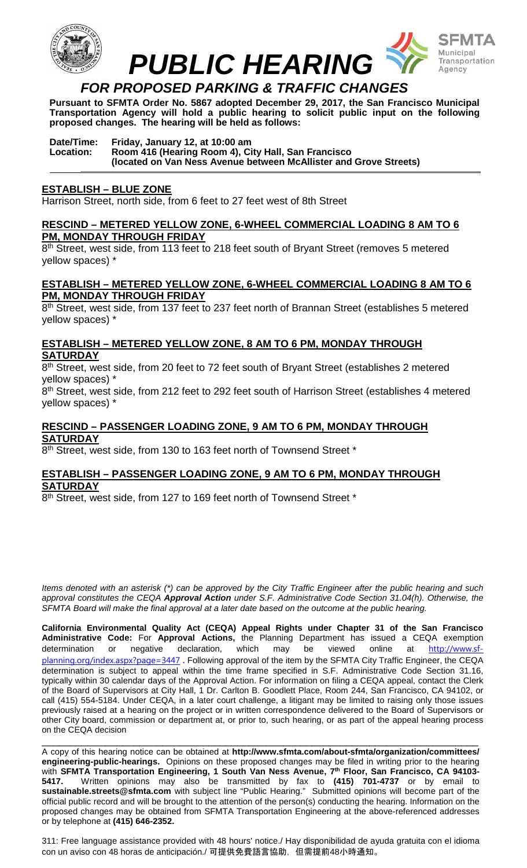



**Pursuant to SFMTA Order No. 5867 adopted December 29, 2017, the San Francisco Municipal Transportation Agency will hold a public hearing to solicit public input on the following proposed changes. The hearing will be held as follows:**

#### **Date/Time: Friday, January 12, at 10:00 am Location: Room 416 (Hearing Room 4), City Hall, San Francisco (located on Van Ness Avenue between McAllister and Grove Streets) \_\_\_\_\_\_\_\_\_\_\_\_\_\_\_\_\_\_\_\_\_\_\_\_\_\_\_\_\_\_\_\_\_\_\_\_\_\_\_\_\_\_\_\_\_\_\_\_\_\_\_\_\_\_\_\_\_\_\_\_\_\_\_\_\_\_\_\_\_\_\_\_\_\_\_\_**

#### **ESTABLISH – BLUE ZONE**

Harrison Street, north side, from 6 feet to 27 feet west of 8th Street

#### **RESCIND – METERED YELLOW ZONE, 6-WHEEL COMMERCIAL LOADING 8 AM TO 6 PM, MONDAY THROUGH FRIDAY**

8<sup>th</sup> Street, west side, from 113 feet to 218 feet south of Bryant Street (removes 5 metered yellow spaces) \*

#### **ESTABLISH – METERED YELLOW ZONE, 6-WHEEL COMMERCIAL LOADING 8 AM TO 6 PM, MONDAY THROUGH FRIDAY**

8<sup>th</sup> Street, west side, from 137 feet to 237 feet north of Brannan Street (establishes 5 metered yellow spaces) \*

## **ESTABLISH – METERED YELLOW ZONE, 8 AM TO 6 PM, MONDAY THROUGH SATURDAY**

8th Street, west side, from 20 feet to 72 feet south of Bryant Street (establishes 2 metered yellow spaces) \*

8<sup>th</sup> Street, west side, from 212 feet to 292 feet south of Harrison Street (establishes 4 metered yellow spaces) \*

## **RESCIND – PASSENGER LOADING ZONE, 9 AM TO 6 PM, MONDAY THROUGH SATURDAY**

8<sup>th</sup> Street, west side, from 130 to 163 feet north of Townsend Street \*

#### **ESTABLISH – PASSENGER LOADING ZONE, 9 AM TO 6 PM, MONDAY THROUGH SATURDAY**

8<sup>th</sup> Street, west side, from 127 to 169 feet north of Townsend Street \*

*Items denoted with an asterisk (\*) can be approved by the City Traffic Engineer after the public hearing and such approval constitutes the CEQA Approval Action under S.F. Administrative Code Section 31.04(h). Otherwise, the SFMTA Board will make the final approval at a later date based on the outcome at the public hearing.*

**California Environmental Quality Act (CEQA) Appeal Rights under Chapter 31 of the San Francisco Administrative Code:** For **Approval Actions,** the Planning Department has issued a CEQA exemption determination or negative declaration, which may be viewed online at [http://www.sf](http://www.sf-planning.org/index.aspx?page=3447)[planning.org/index.aspx?page=3447](http://www.sf-planning.org/index.aspx?page=3447) **.** Following approval of the item by the SFMTA City Traffic Engineer, the CEQA determination is subject to appeal within the time frame specified in S.F. Administrative Code Section 31.16, typically within 30 calendar days of the Approval Action. For information on filing a CEQA appeal, contact the Clerk of the Board of Supervisors at City Hall, 1 Dr. Carlton B. Goodlett Place, Room 244, San Francisco, CA 94102, or call (415) 554-5184. Under CEQA, in a later court challenge, a litigant may be limited to raising only those issues previously raised at a hearing on the project or in written correspondence delivered to the Board of Supervisors or other City board, commission or department at, or prior to, such hearing, or as part of the appeal hearing process on the CEQA decision

\_\_\_\_\_\_\_\_\_\_\_\_\_\_\_\_\_\_\_\_\_\_\_\_\_\_\_\_\_\_\_\_\_\_\_\_\_\_\_\_\_\_\_\_\_\_\_\_\_\_\_\_\_\_\_\_\_\_\_\_\_\_\_\_\_\_\_\_\_\_\_\_\_\_\_\_ A copy of this hearing notice can be obtained at **http://www.sfmta.com/about-sfmta/organization/committees/ engineering-public-hearings.** Opinions on these proposed changes may be filed in writing prior to the hearing with **SFMTA Transportation Engineering, 1 South Van Ness Avenue, 7th Floor, San Francisco, CA 94103- 5417.** Written opinions may also be transmitted by fax to **(415) 701-4737** or by email to **sustainable.streets@sfmta.com** with subject line "Public Hearing." Submitted opinions will become part of the official public record and will be brought to the attention of the person(s) conducting the hearing. Information on the proposed changes may be obtained from SFMTA Transportation Engineering at the above-referenced addresses or by telephone at **(415) 646-2352.**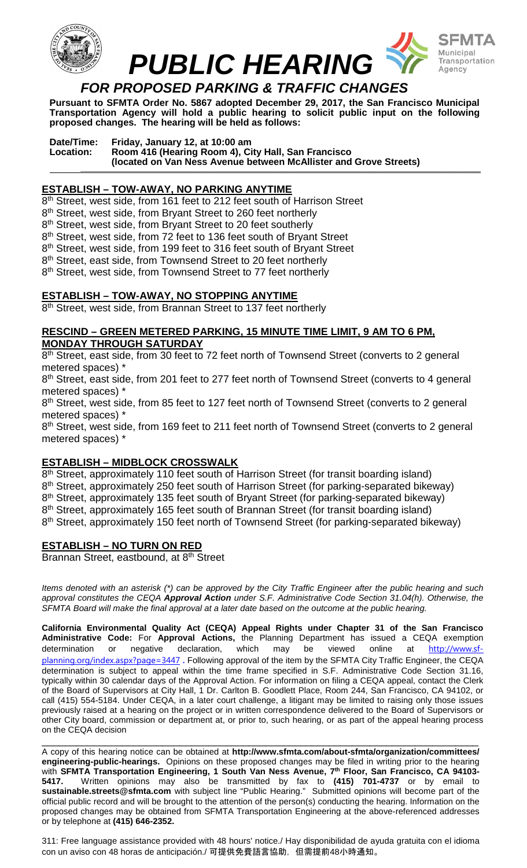

**Pursuant to SFMTA Order No. 5867 adopted December 29, 2017, the San Francisco Municipal Transportation Agency will hold a public hearing to solicit public input on the following proposed changes. The hearing will be held as follows:**

**Date/Time: Friday, January 12, at 10:00 am Location: Room 416 (Hearing Room 4), City Hall, San Francisco (located on Van Ness Avenue between McAllister and Grove Streets) \_\_\_\_\_\_\_\_\_\_\_\_\_\_\_\_\_\_\_\_\_\_\_\_\_\_\_\_\_\_\_\_\_\_\_\_\_\_\_\_\_\_\_\_\_\_\_\_\_\_\_\_\_\_\_\_\_\_\_\_\_\_\_\_\_\_\_\_\_\_\_\_\_\_\_\_**

# **ESTABLISH – TOW-AWAY, NO PARKING ANYTIME**

8<sup>th</sup> Street, west side, from 161 feet to 212 feet south of Harrison Street 8<sup>th</sup> Street, west side, from Bryant Street to 260 feet northerly 8<sup>th</sup> Street, west side, from Bryant Street to 20 feet southerly 8<sup>th</sup> Street, west side, from 72 feet to 136 feet south of Bryant Street 8<sup>th</sup> Street, west side, from 199 feet to 316 feet south of Bryant Street 8<sup>th</sup> Street, east side, from Townsend Street to 20 feet northerly 8<sup>th</sup> Street, west side, from Townsend Street to 77 feet northerly

## **ESTABLISH – TOW-AWAY, NO STOPPING ANYTIME**

8<sup>th</sup> Street, west side, from Brannan Street to 137 feet northerly

#### **RESCIND – GREEN METERED PARKING, 15 MINUTE TIME LIMIT, 9 AM TO 6 PM, MONDAY THROUGH SATURDAY**

8<sup>th</sup> Street, east side, from 30 feet to 72 feet north of Townsend Street (converts to 2 general metered spaces) \*

8<sup>th</sup> Street, east side, from 201 feet to 277 feet north of Townsend Street (converts to 4 general metered spaces) \*

8<sup>th</sup> Street, west side, from 85 feet to 127 feet north of Townsend Street (converts to 2 general metered spaces) \*

8<sup>th</sup> Street, west side, from 169 feet to 211 feet north of Townsend Street (converts to 2 general metered spaces) \*

## **ESTABLISH – MIDBLOCK CROSSWALK**

8<sup>th</sup> Street, approximately 110 feet south of Harrison Street (for transit boarding island) 8<sup>th</sup> Street, approximately 250 feet south of Harrison Street (for parking-separated bikeway) 8<sup>th</sup> Street, approximately 135 feet south of Bryant Street (for parking-separated bikeway) 8<sup>th</sup> Street, approximately 165 feet south of Brannan Street (for transit boarding island) 8<sup>th</sup> Street, approximately 150 feet north of Townsend Street (for parking-separated bikeway)

## **ESTABLISH – NO TURN ON RED**

Brannan Street, eastbound, at 8<sup>th</sup> Street

*Items denoted with an asterisk (\*) can be approved by the City Traffic Engineer after the public hearing and such approval constitutes the CEQA Approval Action under S.F. Administrative Code Section 31.04(h). Otherwise, the SFMTA Board will make the final approval at a later date based on the outcome at the public hearing.*

**California Environmental Quality Act (CEQA) Appeal Rights under Chapter 31 of the San Francisco Administrative Code:** For **Approval Actions,** the Planning Department has issued a CEQA exemption determination or negative declaration, which may be viewed online at [http://www.sf](http://www.sf-planning.org/index.aspx?page=3447)[planning.org/index.aspx?page=3447](http://www.sf-planning.org/index.aspx?page=3447) **.** Following approval of the item by the SFMTA City Traffic Engineer, the CEQA determination is subject to appeal within the time frame specified in S.F. Administrative Code Section 31.16, typically within 30 calendar days of the Approval Action. For information on filing a CEQA appeal, contact the Clerk of the Board of Supervisors at City Hall, 1 Dr. Carlton B. Goodlett Place, Room 244, San Francisco, CA 94102, or call (415) 554-5184. Under CEQA, in a later court challenge, a litigant may be limited to raising only those issues previously raised at a hearing on the project or in written correspondence delivered to the Board of Supervisors or other City board, commission or department at, or prior to, such hearing, or as part of the appeal hearing process on the CEQA decision

\_\_\_\_\_\_\_\_\_\_\_\_\_\_\_\_\_\_\_\_\_\_\_\_\_\_\_\_\_\_\_\_\_\_\_\_\_\_\_\_\_\_\_\_\_\_\_\_\_\_\_\_\_\_\_\_\_\_\_\_\_\_\_\_\_\_\_\_\_\_\_\_\_\_\_\_ A copy of this hearing notice can be obtained at **http://www.sfmta.com/about-sfmta/organization/committees/ engineering-public-hearings.** Opinions on these proposed changes may be filed in writing prior to the hearing with **SFMTA Transportation Engineering, 1 South Van Ness Avenue, 7th Floor, San Francisco, CA 94103- 5417.** Written opinions may also be transmitted by fax to **(415) 701-4737** or by email to **sustainable.streets@sfmta.com** with subject line "Public Hearing." Submitted opinions will become part of the official public record and will be brought to the attention of the person(s) conducting the hearing. Information on the proposed changes may be obtained from SFMTA Transportation Engineering at the above-referenced addresses or by telephone at **(415) 646-2352.**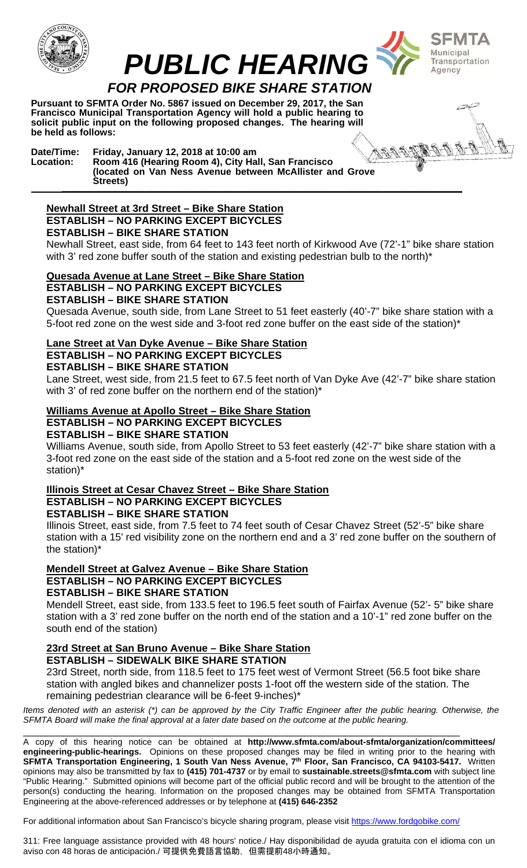



 *PUBLIC HEARING FOR PROPOSED BIKE SHARE STATION* 

**Pursuant to SFMTA Order No. 5867 issued on December 29, 2017, the San Francisco Municipal Transportation Agency will hold a public hearing to solicit public input on the following proposed changes. The hearing will be held as follows:** 

**Date/Time: Friday, January 12, 2018 at 10:00 am Location: Room 416 (Hearing Room 4), City Hall, San Francisco (located on Van Ness Avenue between McAllister and Grove Streets) and the streets**  $\overline{\phantom{a}}$  **b** 

#### **Newhall Street at 3rd Street – Bike Share Station ESTABLISH – NO PARKING EXCEPT BICYCLES ESTABLISH – BIKE SHARE STATION**

Newhall Street, east side, from 64 feet to 143 feet north of Kirkwood Ave (72'-1" bike share station with 3' red zone buffer south of the station and existing pedestrian bulb to the north)\*

#### **Quesada Avenue at Lane Street – Bike Share Station ESTABLISH – NO PARKING EXCEPT BICYCLES**

# **ESTABLISH – BIKE SHARE STATION**

Quesada Avenue, south side, from Lane Street to 51 feet easterly (40'-7" bike share station with a 5-foot red zone on the west side and 3-foot red zone buffer on the east side of the station)<sup>\*</sup>

# **Lane Street at Van Dyke Avenue – Bike Share Station ESTABLISH – NO PARKING EXCEPT BICYCLES**

**ESTABLISH – BIKE SHARE STATION** 

Lane Street, west side, from 21.5 feet to 67.5 feet north of Van Dyke Ave (42'-7" bike share station with 3' of red zone buffer on the northern end of the station)\*

# **Williams Avenue at Apollo Street – Bike Share Station**

**ESTABLISH – NO PARKING EXCEPT BICYCLES** 

# **ESTABLISH – BIKE SHARE STATION**

Williams Avenue, south side, from Apollo Street to 53 feet easterly (42'-7" bike share station with a 3-foot red zone on the east side of the station and a 5-foot red zone on the west side of the station)\*

# **Illinois Street at Cesar Chavez Street – Bike Share Station**

**ESTABLISH – NO PARKING EXCEPT BICYCLES ESTABLISH – BIKE SHARE STATION** 

Illinois Street, east side, from 7.5 feet to 74 feet south of Cesar Chavez Street (52'-5" bike share station with a 15' red visibility zone on the northern end and a 3' red zone buffer on the southern of the station)\*

# **Mendell Street at Galvez Avenue – Bike Share Station**

# **ESTABLISH – NO PARKING EXCEPT BICYCLES**

**ESTABLISH – BIKE SHARE STATION** 

Mendell Street, east side, from 133.5 feet to 196.5 feet south of Fairfax Avenue (52'- 5" bike share station with a 3' red zone buffer on the north end of the station and a 10'-1" red zone buffer on the south end of the station)

#### **23rd Street at San Bruno Avenue – Bike Share Station ESTABLISH – SIDEWALK BIKE SHARE STATION**

23rd Street, north side, from 118.5 feet to 175 feet west of Vermont Street (56.5 foot bike share station with angled bikes and channelizer posts 1-foot off the western side of the station. The remaining pedestrian clearance will be 6-feet 9-inches)\*

*Items denoted with an asterisk (\*) can be approved by the City Traffic Engineer after the public hearing. Otherwise, the SFMTA Board will make the final approval at a later date based on the outcome at the public hearing.*  \_\_\_\_\_\_\_\_\_\_\_\_\_\_\_\_\_\_\_\_\_\_\_\_\_\_\_\_\_\_\_\_\_\_\_\_\_\_\_\_\_\_\_\_\_\_\_\_\_\_\_\_\_\_\_\_\_\_\_\_\_\_\_\_\_\_\_\_\_\_\_\_\_\_\_\_

A copy of this hearing notice can be obtained at **http://www.sfmta.com/about-sfmta/organization/committees/ engineering-public-hearings.** Opinions on these proposed changes may be filed in writing prior to the hearing with **SFMTA Transportation Engineering, 1 South Van Ness Avenue, 7th Floor, San Francisco, CA 94103-5417.** Written opinions may also be transmitted by fax to **(415) 701-4737** or by email to **sustainable.streets@sfmta.com** with subject line "Public Hearing." Submitted opinions will become part of the official public record and will be brought to the attention of the person(s) conducting the hearing. Information on the proposed changes may be obtained from SFMTA Transportation Engineering at the above-referenced addresses or by telephone at **(415) 646-2352**

For additional information about San Francisco's bicycle sharing program, please visit https://www.fordgobike.com/